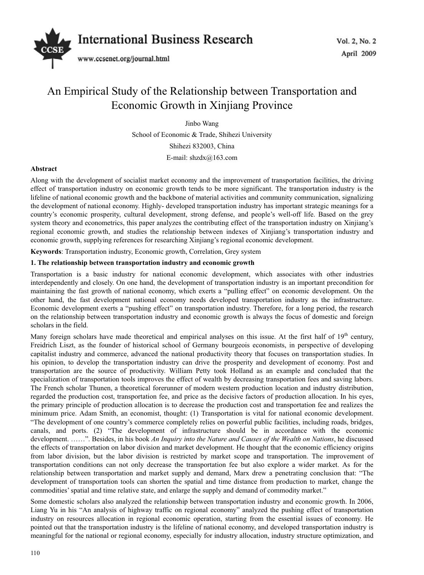

# An Empirical Study of the Relationship between Transportation and Economic Growth in Xinjiang Province

Jinbo Wang

School of Economic & Trade, Shihezi University Shihezi 832003, China E-mail: shzdx@163.com

# **Abstract**

Along with the development of socialist market economy and the improvement of transportation facilities, the driving effect of transportation industry on economic growth tends to be more significant. The transportation industry is the lifeline of national economic growth and the backbone of material activities and community communication, signalizing the development of national economy. Highly- developed transportation industry has important strategic meanings for a country's economic prosperity, cultural development, strong defense, and people's well-off life. Based on the grey system theory and econometrics, this paper analyzes the contributing effect of the transportation industry on Xinjiang's regional economic growth, and studies the relationship between indexes of Xinjiang's transportation industry and economic growth, supplying references for researching Xinjiang's regional economic development.

**Keywords**: Transportation industry, Economic growth, Correlation, Grey system

# **1. The relationship between transportation industry and economic growth**

Transportation is a basic industry for national economic development, which associates with other industries interdependently and closely. On one hand, the development of transportation industry is an important precondition for maintaining the fast growth of national economy, which exerts a "pulling effect" on economic development. On the other hand, the fast development national economy needs developed transportation industry as the infrastructure. Economic development exerts a "pushing effect" on transportation industry. Therefore, for a long period, the research on the relationship between transportation industry and economic growth is always the focus of domestic and foreign scholars in the field.

Many foreign scholars have made theoretical and empirical analyses on this issue. At the first half of  $19<sup>th</sup>$  century, Freidrich Liszt, as the founder of historical school of Germany bourgeois economists, in perspective of developing capitalist industry and commerce, advanced the national productivity theory that focuses on transportation studies. In his opinion, to develop the transportation industry can drive the prosperity and development of economy. Post and transportation are the source of productivity. William Petty took Holland as an example and concluded that the specialization of transportation tools improves the effect of wealth by decreasing transportation fees and saving labors. The French scholar Thunen, a theoretical forerunner of modern western production location and industry distribution, regarded the production cost, transportation fee, and price as the decisive factors of production allocation. In his eyes, the primary principle of production allocation is to decrease the production cost and transportation fee and realizes the minimum price. Adam Smith, an economist, thought: (1) Transportation is vital for national economic development. "The development of one country's commerce completely relies on powerful public facilities, including roads, bridges, canals, and ports. (2) "The development of infrastructure should be in accordance with the economic development. ……". Besides, in his book *An Inquiry into the Nature and Causes of the Wealth on Nations*, he discussed the effects of transportation on labor division and market development. He thought that the economic efficiency origins from labor division, but the labor division is restricted by market scope and transportation. The improvement of transportation conditions can not only decrease the transportation fee but also explore a wider market. As for the relationship between transportation and market supply and demand, Marx drew a penetrating conclusion that: "The development of transportation tools can shorten the spatial and time distance from production to market, change the commodities' spatial and time relative state, and enlarge the supply and demand of commodity market."

Some domestic scholars also analyzed the relationship between transportation industry and economic growth. In 2006, Liang Yu in his "An analysis of highway traffic on regional economy" analyzed the pushing effect of transportation industry on resources allocation in regional economic operation, starting from the essential issues of economy. He pointed out that the transportation industry is the lifeline of national economy, and developed transportation industry is meaningful for the national or regional economy, especially for industry allocation, industry structure optimization, and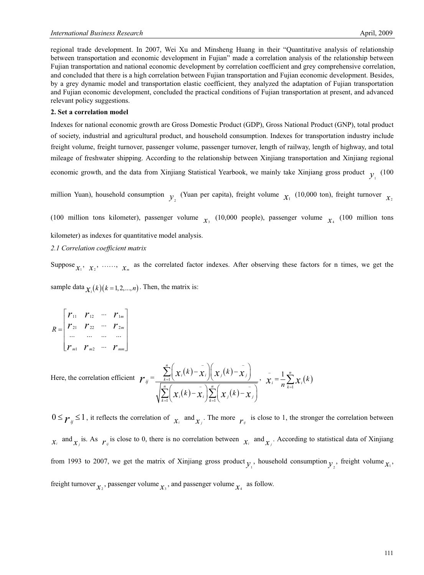regional trade development. In 2007, Wei Xu and Minsheng Huang in their "Quantitative analysis of relationship between transportation and economic development in Fujian" made a correlation analysis of the relationship between Fujian transportation and national economic development by correlation coefficient and grey comprehensive correlation, and concluded that there is a high correlation between Fujian transportation and Fujian economic development. Besides, by a grey dynamic model and transportation elastic coefficient, they analyzed the adaptation of Fujian transportation and Fujian economic development, concluded the practical conditions of Fujian transportation at present, and advanced relevant policy suggestions.

#### **2. Set a correlation model**

Indexes for national economic growth are Gross Domestic Product (GDP), Gross National Product (GNP), total product of society, industrial and agricultural product, and household consumption. Indexes for transportation industry include freight volume, freight turnover, passenger volume, passenger turnover, length of railway, length of highway, and total mileage of freshwater shipping. According to the relationship between Xinjiang transportation and Xinjiang regional economic growth, and the data from Xinjiang Statistical Yearbook, we mainly take Xinjiang gross product  $\mathbf{v}$  (100)

million Yuan), household consumption  $y_2$  (Yuan per capita), freight volume  $x_1$  (10,000 ton), freight turnover  $x_2$ 

(100 million tons kilometer), passenger volume  $\chi$ <sup>3</sup> (10,000 people), passenger volume  $\chi$ <sup>4</sup> (100 million tons kilometer) as indexes for quantitative model analysis.

### *2.1 Correlation coefficient matrix*

Suppose  $x_1, x_2, \ldots, x_m$  as the correlated factor indexes. After observing these factors for n times, we get the

sample data  $\chi_i(k)$  ( $k = 1, 2, \ldots, n$ ). Then, the matrix is:

$$
R = \begin{bmatrix} r_{11} & r_{12} & \cdots & r_{1m} \\ r_{21} & r_{22} & \cdots & r_{2m} \\ \cdots & \cdots & \cdots & \cdots \\ r_{m1} & r_{m2} & \cdots & r_{mm} \end{bmatrix}
$$

Here, the correlation efficient  $\mathbf{r}_{ij} = \frac{\sum_{k=1}^{n} \left( x_i(k) - x_i \right) \left( x_j(k) \right)}{\sqrt{\sum_{k=1}^{n} \left( x_i(k) - x_i \right) \left( x_j(k) \right)}}$  $(k)$  –  $\chi_i$   $\sum$   $\chi_i(k)$ 1  $1 \setminus$   $\mathcal{A} = 1$ *n*  $\sum_{k=1}^{\infty} \left( \begin{array}{cc} \mathcal{X}_i \setminus \cdots \end{array} \right)$   $\mathcal{X}_j \left( \begin{array}{cc} \mathcal{X}_j \end{array} \right)$ *n*  $\left($  - \n  $\sum_{k=1}^{\infty} \left( \mathcal{X}_i \right)^{N} \mathcal{X}_i \left/ \sum_{k=1}^{\infty} \left( \mathcal{X}_j \right)^{N} \mathcal{X}_j$  $(k) - \chi_i || \chi_i(k)$  $k$   $-\chi$ <sub>i</sub>  $|\sum x_i(k)$  $\left\Vert \chi_{_{i}}(k)\!-\!\chi_{_{i}}\right\Vert \left\Vert \chi_{_{j}}(k)\!-\!\chi_{_{j}}(k)\right\Vert$  $\chi_i(k)$  -  $\chi_i\left[\sum_{i=1}^{n}x_i(k)-x_i\right]$  $-$  \ $/$   $-$ =  $-\left(\begin{array}{cc} n & -1 \end{array}\right)$ =  $\left(x_i(k)-x_i\right)\left(x_j(k)-x_j\right)$  $\left(x_i(k)-x_i\right)\sum_{k=1}^n\left(x_j(k)-x_j\right)$ <u>Σ</u>  $\sum_{i} |x_i(k)-x_i| \sum_{i}$  $\sum_{i} \sum_{i} \frac{1}{n} \sum_{k=1}^{n} \chi_i(k)$  $1 \frac{n}{2}$  $\sum_{i} = \frac{1}{n} \sum_{k=1}^{n} \chi_{i}(k)$  $\overline{x}_i = \frac{1}{n} \sum_{k=1}^n x_k$  $=\frac{1}{n}\sum_{k=1}^{n}$ 

 $0 \le \gamma_{ij} \le 1$ , it reflects the correlation of  $\chi_i$  and  $\chi_j$ . The more  $\gamma_{ij}$  is close to 1, the stronger the correlation between  $x_i$  and  $x_j$  is. As  $r_j$  is close to 0, there is no correlation between  $x_i$  and  $x_j$ . According to statistical data of Xinjiang from 1993 to 2007, we get the matrix of Xinjiang gross product  $y_1$ , household consumption  $y_2$ , freight volume  $x_1$ , freight turnover  $\chi_2$ , passenger volume  $\chi_3$ , and passenger volume  $\chi_4$  as follow.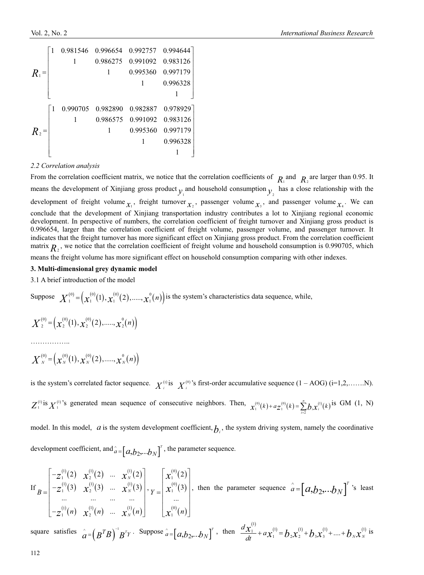|         |                | 0.981546 0.996654 |          |                   | 0.992757 0.994644 |
|---------|----------------|-------------------|----------|-------------------|-------------------|
|         |                |                   | 0.986275 | 0.991092          | 0.983126          |
| $R_1$ = |                |                   |          | 0.995360          | 0.997179          |
|         |                |                   |          |                   | 0.996328          |
|         |                |                   |          |                   |                   |
|         | $\overline{1}$ | 0.990705          | 0.982890 | 0.982887          | 0.978929          |
|         |                |                   |          | 0.986575 0.991092 | 0.983126          |
| $R_2$ = |                |                   |          | 0.995360          | 0.997179          |
|         |                |                   |          |                   | 0.996328          |
|         |                |                   |          |                   |                   |

## *2.2 Correlation analysis*

From the correlation coefficient matrix, we notice that the correlation coefficients of  $R_1$  and  $R_2$  are larger than 0.95. It means the development of Xinjiang gross product  $y_1$  and household consumption  $y_2$  has a close relationship with the development of freight volume  $\chi_1$ , freight turnover  $\chi_2$ , passenger volume  $\chi_3$ , and passenger volume  $\chi_4$ . We can conclude that the development of Xinjiang transportation industry contributes a lot to Xinjiang regional economic development. In perspective of numbers, the correlation coefficient of freight turnover and Xinjiang gross product is 0.996654, larger than the correlation coefficient of freight volume, passenger volume, and passenger turnover. It indicates that the freight turnover has more significant effect on Xinjiang gross product. From the correlation coefficient matrix  $R_2$ , we notice that the correlation coefficient of freight volume and household consumption is 0.990705, which

means the freight volume has more significant effect on household consumption comparing with other indexes.

#### **3. Multi-dimensional grey dynamic model**

3.1 A brief introduction of the model

Suppose  $X_1^{(0)} = (x_1^{(0)}(1), x_1^{(0)}(2), \dots, x_n^{(0)}(n))$  is the system's characteristics data sequence, while,

$$
X^{(0)}_2 = \left(x^{(0)}_2(1), x^{(0)}_2(2), \dots, x^{(0)}_2(n)\right)
$$

………………

$$
X^{(0)}_{N} = (x^{(0)}_{N}(1), x^{(0)}_{N}(2), \dots, x^{(0)}_{N}(n))
$$

is the system's correlated factor sequence.  $X_i^{(0)}$  is  $X_i^{(0)}$ 's first-order accumulative sequence  $(1 - AOG)$  (i=1,2,.......N).  $Z_1^{(1)}$  is  $X_1^{(1)}$ 's generated mean sequence of consecutive neighbors. Then,  $\chi_1^{(0)}(k) + a Z_1^{(0)}(k) = \sum_{i=2}^n b_i X_i^{(1)}(k)$ *n*  $x_1^{(0)}(k) + a z_1^{(0)}(k) = \sum_{i=2}^n b_i x_i^{(1)}(k)$  is GM (1, N)

model. In this model,  $a$  is the system development coefficient,  $b_i$ , the system driving system, namely the coordinative development coefficient, and  $\hat{a} = [a,b_2,...b_N]^T$ , the parameter sequence.

If 
$$
B = \begin{bmatrix} -z_1^{(1)}(2) & x_2^{(1)}(2) & \dots & x_N^{(1)}(2) \\ -z_1^{(1)}(3) & x_2^{(1)}(3) & \dots & x_N^{(1)}(3) \\ \dots & \dots & \dots & \dots \\ -z_1^{(1)}(n) & x_2^{(1)}(n) & \dots & x_N^{(1)}(n) \end{bmatrix}
$$
, then the parameter sequence  $\hat{a} = [a, b_2, \dots b_N]^T$ 's least

square satisfies  $\hat{a} = (B^T B)^{-1} B^T Y$ . Suppose  $\hat{a} = (a, b_2,...b_N)^T$ , then  $\frac{d x_1^{(1)}}{dt} + a x_1^{(1)} = b_2 x_2^{(1)} + b_3 x_3^{(1)} + .... + b_N x_N^{(1)}$  $\frac{d\chi_1^{(1)}}{dt} + a\chi_1^{(1)} = b_2\chi_2^{(1)} + b_3\chi_3^{(1)} + \dots + b_N\chi_N^{(1)}$  is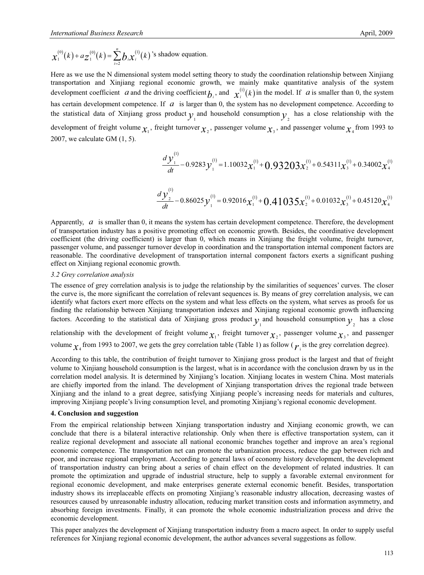$$
\chi_1^{(0)}(k) + a \chi_1^{(0)}(k) = \sum_{i=2}^n b_i \chi_i^{(1)}(k)
$$
's shadow equation.

Here as we use the N dimensional system model setting theory to study the coordination relationship between Xinjiang transportation and Xinjiang regional economic growth, we mainly make quantitative analysis of the system development coefficient *a* and the driving coefficient  $b_i$ , and  $x_i^{(i)}(k)$  in the model. If *a* is smaller than 0, the system has certain development competence. If *a* is larger than 0, the system has no development competence. According to the statistical data of Xinjiang gross product  $\gamma$  and household consumption  $\gamma$  has a close relationship with the development of freight volume  $\chi_1$ , freight turnover  $\chi_2$ , passenger volume  $\chi_3$ , and passenger volume  $\chi_4$  from 1993 to 2007, we calculate GM (1, 5).

$$
\frac{d y_1^{(1)}}{dt} - 0.9283 y_1^{(1)} = 1.10032 x_1^{(1)} + 0.93203 x_2^{(1)} + 0.54311 x_3^{(1)} + 0.34002 x_4^{(1)}
$$

$$
\frac{d y_2^{(1)}}{dt} - 0.86025 y_1^{(1)} = 0.92016 x_1^{(1)} + 0.41035 x_2^{(1)} + 0.01032 x_3^{(1)} + 0.45120 x_4^{(1)}
$$

Apparently, *a* is smaller than 0, it means the system has certain development competence. Therefore, the development of transportation industry has a positive promoting effect on economic growth. Besides, the coordinative development coefficient (the driving coefficient) is larger than 0, which means in Xinjiang the freight volume, freight turnover, passenger volume, and passenger turnover develop in coordination and the transportation internal component factors are reasonable. The coordinative development of transportation internal component factors exerts a significant pushing effect on Xinjiang regional economic growth.

## *3.2 Grey correlation analysis*

The essence of grey correlation analysis is to judge the relationship by the similarities of sequences' curves. The closer the curve is, the more significant the correlation of relevant sequences is. By means of grey correlation analysis, we can identify what factors exert more effects on the system and what less effects on the system, what serves as proofs for us finding the relationship between Xinjiang transportation indexes and Xinjiang regional economic growth influencing factors. According to the statistical data of Xinjiang gross product  $y_1$  and household consumption  $y_2$  has a close relationship with the development of freight volume  $\chi_1$ , freight turnover  $\chi_2$ , passenger volume  $\chi_3$ , and passenger volume  $\chi_4$  from 1993 to 2007, we gets the grey correlation table (Table 1) as follow ( $r_i$  is the grey correlation degree).

According to this table, the contribution of freight turnover to Xinjiang gross product is the largest and that of freight volume to Xinjiang household consumption is the largest, what is in accordance with the conclusion drawn by us in the correlation model analysis. It is determined by Xinjiang's location. Xinjiang locates in western China. Most materials are chiefly imported from the inland. The development of Xinjiang transportation drives the regional trade between Xinjiang and the inland to a great degree, satisfying Xinjiang people's increasing needs for materials and cultures, improving Xinjiang people's living consumption level, and promoting Xinjiang's regional economic development.

### **4. Conclusion and suggestion**

From the empirical relationship between Xinjiang transportation industry and Xinjiang economic growth, we can conclude that there is a bilateral interactive relationship. Only when there is effective transportation system, can it realize regional development and associate all national economic branches together and improve an area's regional economic competence. The transportation net can promote the urbanization process, reduce the gap between rich and poor, and increase regional employment. According to general laws of economy history development, the development of transportation industry can bring about a series of chain effect on the development of related industries. It can promote the optimization and upgrade of industrial structure, help to supply a favorable external environment for regional economic development, and make enterprises generate external economic benefit. Besides, transportation industry shows its irreplaceable effects on promoting Xinjiang's reasonable industry allocation, decreasing wastes of resources caused by unreasonable industry allocation, reducing market transition costs and information asymmetry, and absorbing foreign investments. Finally, it can promote the whole economic industrialization process and drive the economic development.

This paper analyzes the development of Xinjiang transportation industry from a macro aspect. In order to supply useful references for Xinjiang regional economic development, the author advances several suggestions as follow.